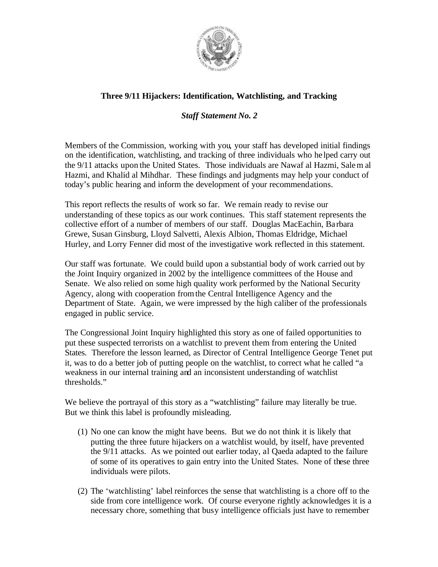

# **Three 9/11 Hijackers: Identification, Watchlisting, and Tracking**

## *Staff Statement No. 2*

Members of the Commission, working with you, your staff has developed initial findings on the identification, watchlisting, and tracking of three individuals who he lped carry out the 9/11 attacks upon the United States. Those individuals are Nawaf al Hazmi, Salem al Hazmi, and Khalid al Mihdhar. These findings and judgments may help your conduct of today's public hearing and inform the development of your recommendations.

This report reflects the results of work so far. We remain ready to revise our understanding of these topics as our work continues. This staff statement represents the collective effort of a number of members of our staff. Douglas MacEachin, Ba rbara Grewe, Susan Ginsburg, Lloyd Salvetti, Alexis Albion, Thomas Eldridge, Michael Hurley, and Lorry Fenner did most of the investigative work reflected in this statement.

Our staff was fortunate. We could build upon a substantial body of work carried out by the Joint Inquiry organized in 2002 by the intelligence committees of the House and Senate. We also relied on some high quality work performed by the National Security Agency, along with cooperation from the Central Intelligence Agency and the Department of State. Again, we were impressed by the high caliber of the professionals engaged in public service.

The Congressional Joint Inquiry highlighted this story as one of failed opportunities to put these suspected terrorists on a watchlist to prevent them from entering the United States. Therefore the lesson learned, as Director of Central Intelligence George Tenet put it, was to do a better job of putting people on the watchlist, to correct what he called "a weakness in our internal training and an inconsistent understanding of watchlist thresholds."

We believe the portrayal of this story as a "watchlisting" failure may literally be true. But we think this label is profoundly misleading.

- (1) No one can know the might have beens. But we do not think it is likely that putting the three future hijackers on a watchlist would, by itself, have prevented the 9/11 attacks. As we pointed out earlier today, al Qaeda adapted to the failure of some of its operatives to gain entry into the United States. None of these three individuals were pilots.
- (2) The 'watchlisting' label reinforces the sense that watchlisting is a chore off to the side from core intelligence work. Of course everyone rightly acknowledges it is a necessary chore, something that busy intelligence officials just have to remember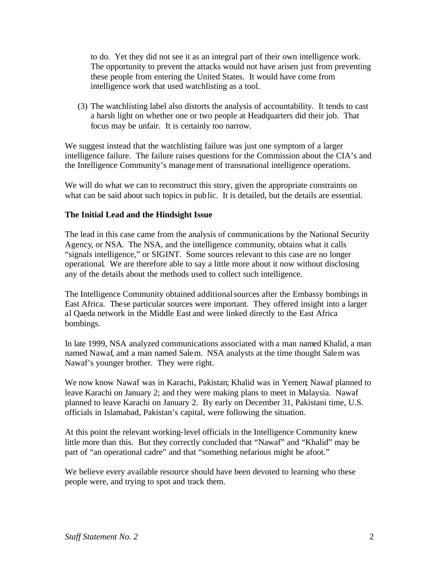to do. Yet they did not see it as an integral part of their own intelligence work. The opportunity to prevent the attacks would not have arisen just from preventing these people from entering the United States. It would have come from intelligence work that used watchlisting as a tool.

(3) The watchlisting label also distorts the analysis of accountability. It tends to cast a harsh light on whether one or two people at Headquarters did their job. That focus may be unfair. It is certainly too narrow.

We suggest instead that the watchlisting failure was just one symptom of a larger intelligence failure. The failure raises questions for the Commission about the CIA's and the Intelligence Community's management of transnational intelligence operations.

We will do what we can to reconstruct this story, given the appropriate constraints on what can be said about such topics in public. It is detailed, but the details are essential.

### **The Initial Lead and the Hindsight Issue**

The lead in this case came from the analysis of communications by the National Security Agency, or NSA. The NSA, and the intelligence community, obtains what it calls "signals intelligence," or SIGINT. Some sources relevant to this case are no longer operational. We are therefore able to say a little more about it now without disclosing any of the details about the methods used to collect such intelligence.

The Intelligence Community obtained additional sources after the Embassy bombings in East Africa. These particular sources were important. They offered insight into a larger al Qaeda network in the Middle East and were linked directly to the East Africa bombings.

In late 1999, NSA analyzed communications associated with a man named Khalid, a man named Nawaf, and a man named Salem. NSA analysts at the time thought Salem was Nawaf's younger brother. They were right.

We now know Nawaf was in Karachi, Pakistan; Khalid was in Yemen; Nawaf planned to leave Karachi on January 2; and they were making plans to meet in Malaysia. Nawaf planned to leave Karachi on January 2. By early on December 31, Pakistani time, U.S. officials in Islamabad, Pakistan's capital, were following the situation.

At this point the relevant working-level officials in the Intelligence Community knew little more than this. But they correctly concluded that "Nawaf" and "Khalid" may be part of "an operational cadre" and that "something nefarious might be afoot."

We believe every available resource should have been devoted to learning who these people were, and trying to spot and track them.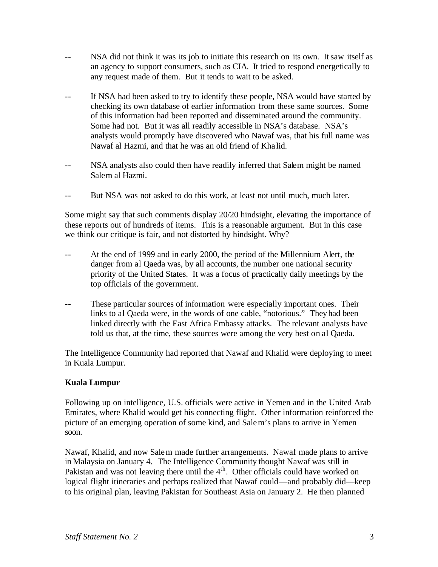- -- NSA did not think it was its job to initiate this research on its own. It saw itself as an agency to support consumers, such as CIA. It tried to respond energetically to any request made of them. But it tends to wait to be asked.
- -- If NSA had been asked to try to identify these people, NSA would have started by checking its own database of earlier information from these same sources. Some of this information had been reported and disseminated around the community. Some had not. But it was all readily accessible in NSA's database. NSA's analysts would promptly have discovered who Nawaf was, that his full name was Nawaf al Hazmi, and that he was an old friend of Kha lid.
- -- NSA analysts also could then have readily inferred that Salem might be named Salem al Hazmi.
- -- But NSA was not asked to do this work, at least not until much, much later.

Some might say that such comments display 20/20 hindsight, elevating the importance of these reports out of hundreds of items. This is a reasonable argument. But in this case we think our critique is fair, and not distorted by hindsight. Why?

- -- At the end of 1999 and in early 2000, the period of the Millennium Alert, the danger from al Qaeda was, by all accounts, the number one national security priority of the United States. It was a focus of practically daily meetings by the top officials of the government.
- -- These particular sources of information were especially important ones. Their links to al Qaeda were, in the words of one cable, "notorious." They had been linked directly with the East Africa Embassy attacks. The relevant analysts have told us that, at the time, these sources were among the very best on al Qaeda.

The Intelligence Community had reported that Nawaf and Khalid were deploying to meet in Kuala Lumpur.

### **Kuala Lumpur**

Following up on intelligence, U.S. officials were active in Yemen and in the United Arab Emirates, where Khalid would get his connecting flight. Other information reinforced the picture of an emerging operation of some kind, and Salem's plans to arrive in Yemen soon.

Nawaf, Khalid, and now Salem made further arrangements. Nawaf made plans to arrive in Malaysia on January 4. The Intelligence Community thought Nawaf was still in Pakistan and was not leaving there until the 4<sup>th</sup>. Other officials could have worked on logical flight itineraries and perhaps realized that Nawaf could—and probably did—keep to his original plan, leaving Pakistan for Southeast Asia on January 2. He then planned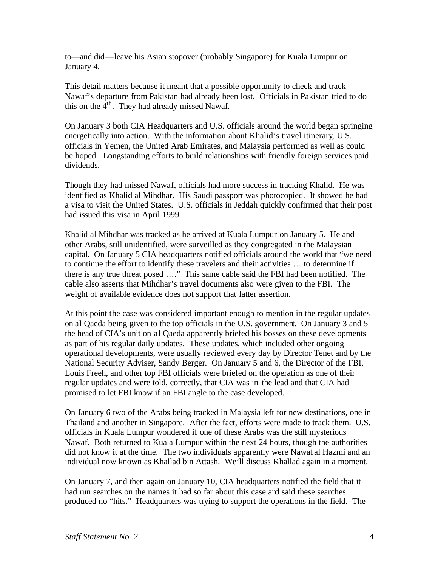to—and did—leave his Asian stopover (probably Singapore) for Kuala Lumpur on January 4.

This detail matters because it meant that a possible opportunity to check and track Nawaf's departure from Pakistan had already been lost. Officials in Pakistan tried to do this on the  $4<sup>th</sup>$ . They had already missed Nawaf.

On January 3 both CIA Headquarters and U.S. officials around the world began springing energetically into action. With the information about Khalid's travel itinerary, U.S. officials in Yemen, the United Arab Emirates, and Malaysia performed as well as could be hoped. Longstanding efforts to build relationships with friendly foreign services paid dividends.

Though they had missed Nawaf, officials had more success in tracking Khalid. He was identified as Khalid al Mihdhar. His Saudi passport was photocopied. It showed he had a visa to visit the United States. U.S. officials in Jeddah quickly confirmed that their post had issued this visa in April 1999.

Khalid al Mihdhar was tracked as he arrived at Kuala Lumpur on January 5. He and other Arabs, still unidentified, were surveilled as they congregated in the Malaysian capital. On January 5 CIA headquarters notified officials around the world that "we need to continue the effort to identify these travelers and their activities … to determine if there is any true threat posed …." This same cable said the FBI had been notified. The cable also asserts that Mihdhar's travel documents also were given to the FBI. The weight of available evidence does not support that latter assertion.

At this point the case was considered important enough to mention in the regular updates on al Qaeda being given to the top officials in the U.S. government. On January 3 and 5 the head of CIA's unit on al Qaeda apparently briefed his bosses on these developments as part of his regular daily updates. These updates, which included other ongoing operational developments, were usually reviewed every day by Director Tenet and by the National Security Adviser, Sandy Berger. On January 5 and 6, the Director of the FBI, Louis Freeh, and other top FBI officials were briefed on the operation as one of their regular updates and were told, correctly, that CIA was in the lead and that CIA had promised to let FBI know if an FBI angle to the case developed.

On January 6 two of the Arabs being tracked in Malaysia left for new destinations, one in Thailand and another in Singapore. After the fact, efforts were made to track them. U.S. officials in Kuala Lumpur wondered if one of these Arabs was the still mysterious Nawaf. Both returned to Kuala Lumpur within the next 24 hours, though the authorities did not know it at the time. The two individuals apparently were Nawaf al Hazmi and an individual now known as Khallad bin Attash. We'll discuss Khallad again in a moment.

On January 7, and then again on January 10, CIA headquarters notified the field that it had run searches on the names it had so far about this case and said these searches produced no "hits." Headquarters was trying to support the operations in the field. The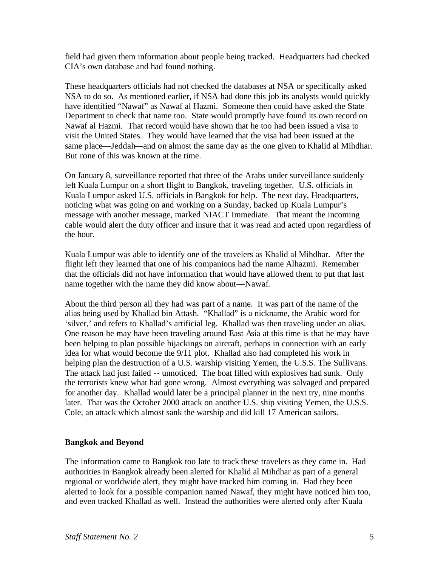field had given them information about people being tracked. Headquarters had checked CIA's own database and had found nothing.

These headquarters officials had not checked the databases at NSA or specifically asked NSA to do so. As mentioned earlier, if NSA had done this job its analysts would quickly have identified "Nawaf" as Nawaf al Hazmi. Someone then could have asked the State Department to check that name too. State would promptly have found its own record on Nawaf al Hazmi. That record would have shown that he too had been issued a visa to visit the United States. They would have learned that the visa had been issued at the same place—Jeddah—and on almost the same day as the one given to Khalid al Mihdhar. But none of this was known at the time.

On January 8, surveillance reported that three of the Arabs under surveillance suddenly left Kuala Lumpur on a short flight to Bangkok, traveling together. U.S. officials in Kuala Lumpur asked U.S. officials in Bangkok for help. The next day, Headquarters, noticing what was going on and working on a Sunday, backed up Kuala Lumpur's message with another message, marked NIACT Immediate. That meant the incoming cable would alert the duty officer and insure that it was read and acted upon regardless of the hour.

Kuala Lumpur was able to identify one of the travelers as Khalid al Mihdhar. After the flight left they learned that one of his companions had the name Alhazmi. Remember that the officials did not have information that would have allowed them to put that last name together with the name they did know about—Nawaf.

About the third person all they had was part of a name. It was part of the name of the alias being used by Khallad bin Attash. "Khallad" is a nickname, the Arabic word for 'silver,' and refers to Khallad's artificial leg. Khallad was then traveling under an alias. One reason he may have been traveling around East Asia at this time is that he may have been helping to plan possible hijackings on aircraft, perhaps in connection with an early idea for what would become the 9/11 plot. Khallad also had completed his work in helping plan the destruction of a U.S. warship visiting Yemen, the U.S.S. The Sullivans. The attack had just failed -- unnoticed. The boat filled with explosives had sunk. Only the terrorists knew what had gone wrong. Almost everything was salvaged and prepared for another day. Khallad would later be a principal planner in the next try, nine months later. That was the October 2000 attack on another U.S. ship visiting Yemen, the U.S.S. Cole, an attack which almost sank the warship and did kill 17 American sailors.

#### **Bangkok and Beyond**

The information came to Bangkok too late to track these travelers as they came in. Had authorities in Bangkok already been alerted for Khalid al Mihdhar as part of a general regional or worldwide alert, they might have tracked him coming in. Had they been alerted to look for a possible companion named Nawaf, they might have noticed him too, and even tracked Khallad as well. Instead the authorities were alerted only after Kuala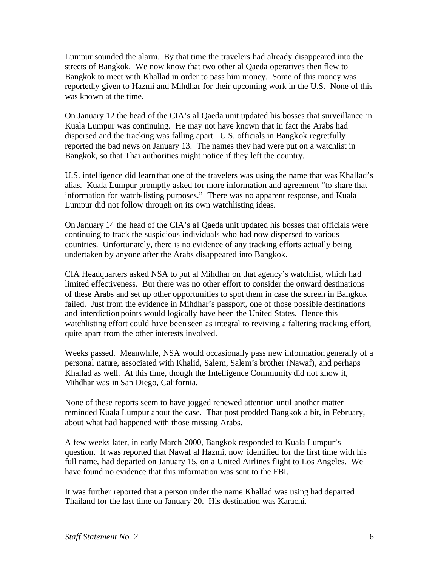Lumpur sounded the alarm. By that time the travelers had already disappeared into the streets of Bangkok. We now know that two other al Qaeda operatives then flew to Bangkok to meet with Khallad in order to pass him money. Some of this money was reportedly given to Hazmi and Mihdhar for their upcoming work in the U.S. None of this was known at the time.

On January 12 the head of the CIA's al Qaeda unit updated his bosses that surveillance in Kuala Lumpur was continuing. He may not have known that in fact the Arabs had dispersed and the tracking was falling apart. U.S. officials in Bangkok regretfully reported the bad news on January 13. The names they had were put on a watchlist in Bangkok, so that Thai authorities might notice if they left the country.

U.S. intelligence did learn that one of the travelers was using the name that was Khallad's alias. Kuala Lumpur promptly asked for more information and agreement "to share that information for watch-listing purposes." There was no apparent response, and Kuala Lumpur did not follow through on its own watchlisting ideas.

On January 14 the head of the CIA's al Qaeda unit updated his bosses that officials were continuing to track the suspicious individuals who had now dispersed to various countries. Unfortunately, there is no evidence of any tracking efforts actually being undertaken by anyone after the Arabs disappeared into Bangkok.

CIA Headquarters asked NSA to put al Mihdhar on that agency's watchlist, which had limited effectiveness. But there was no other effort to consider the onward destinations of these Arabs and set up other opportunities to spot them in case the screen in Bangkok failed. Just from the evidence in Mihdhar's passport, one of those possible destinations and interdiction points would logically have been the United States. Hence this watchlisting effort could have been seen as integral to reviving a faltering tracking effort, quite apart from the other interests involved.

Weeks passed. Meanwhile, NSA would occasionally pass new information generally of a personal nature, associated with Khalid, Salem, Salem's brother (Nawaf), and perhaps Khallad as well. At this time, though the Intelligence Community did not know it, Mihdhar was in San Diego, California.

None of these reports seem to have jogged renewed attention until another matter reminded Kuala Lumpur about the case. That post prodded Bangkok a bit, in February, about what had happened with those missing Arabs.

A few weeks later, in early March 2000, Bangkok responded to Kuala Lumpur's question. It was reported that Nawaf al Hazmi, now identified for the first time with his full name, had departed on January 15, on a United Airlines flight to Los Angeles. We have found no evidence that this information was sent to the FBI.

It was further reported that a person under the name Khallad was using had departed Thailand for the last time on January 20. His destination was Karachi.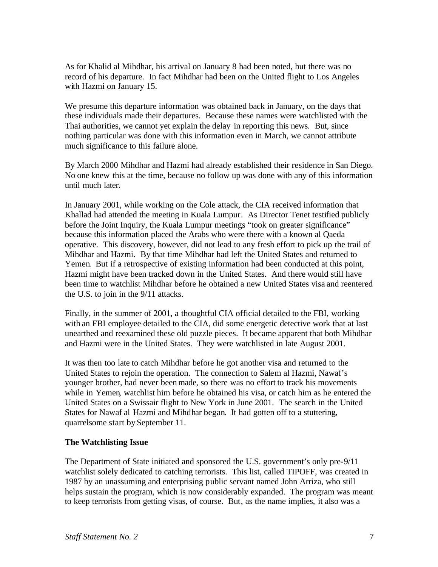As for Khalid al Mihdhar, his arrival on January 8 had been noted, but there was no record of his departure. In fact Mihdhar had been on the United flight to Los Angeles with Hazmi on January 15.

We presume this departure information was obtained back in January, on the days that these individuals made their departures. Because these names were watchlisted with the Thai authorities, we cannot yet explain the delay in reporting this news. But, since nothing particular was done with this information even in March, we cannot attribute much significance to this failure alone.

By March 2000 Mihdhar and Hazmi had already established their residence in San Diego. No one knew this at the time, because no follow up was done with any of this information until much later.

In January 2001, while working on the Cole attack, the CIA received information that Khallad had attended the meeting in Kuala Lumpur. As Director Tenet testified publicly before the Joint Inquiry, the Kuala Lumpur meetings "took on greater significance" because this information placed the Arabs who were there with a known al Qaeda operative. This discovery, however, did not lead to any fresh effort to pick up the trail of Mihdhar and Hazmi. By that time Mihdhar had left the United States and returned to Yemen. But if a retrospective of existing information had been conducted at this point, Hazmi might have been tracked down in the United States. And there would still have been time to watchlist Mihdhar before he obtained a new United States visa and reentered the U.S. to join in the 9/11 attacks.

Finally, in the summer of 2001, a thoughtful CIA official detailed to the FBI, working with an FBI employee detailed to the CIA, did some energetic detective work that at last unearthed and reexamined these old puzzle pieces. It became apparent that both Mihdhar and Hazmi were in the United States. They were watchlisted in late August 2001.

It was then too late to catch Mihdhar before he got another visa and returned to the United States to rejoin the operation. The connection to Salem al Hazmi, Nawaf's younger brother, had never been made, so there was no effort to track his movements while in Yemen, watchlist him before he obtained his visa, or catch him as he entered the United States on a Swissair flight to New York in June 2001. The search in the United States for Nawaf al Hazmi and Mihdhar began. It had gotten off to a stuttering, quarrelsome start by September 11.

#### **The Watchlisting Issue**

The Department of State initiated and sponsored the U.S. government's only pre-9/11 watchlist solely dedicated to catching terrorists. This list, called TIPOFF, was created in 1987 by an unassuming and enterprising public servant named John Arriza, who still helps sustain the program, which is now considerably expanded. The program was meant to keep terrorists from getting visas, of course. But, as the name implies, it also was a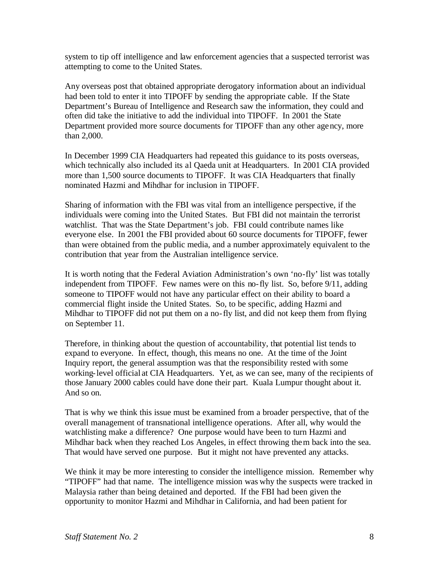system to tip off intelligence and law enforcement agencies that a suspected terrorist was attempting to come to the United States.

Any overseas post that obtained appropriate derogatory information about an individual had been told to enter it into TIPOFF by sending the appropriate cable. If the State Department's Bureau of Intelligence and Research saw the information, they could and often did take the initiative to add the individual into TIPOFF. In 2001 the State Department provided more source documents for TIPOFF than any other agency, more than 2,000.

In December 1999 CIA Headquarters had repeated this guidance to its posts overseas, which technically also included its al Qaeda unit at Headquarters. In 2001 CIA provided more than 1,500 source documents to TIPOFF. It was CIA Headquarters that finally nominated Hazmi and Mihdhar for inclusion in TIPOFF.

Sharing of information with the FBI was vital from an intelligence perspective, if the individuals were coming into the United States. But FBI did not maintain the terrorist watchlist. That was the State Department's job. FBI could contribute names like everyone else. In 2001 the FBI provided about 60 source documents for TIPOFF, fewer than were obtained from the public media, and a number approximately equivalent to the contribution that year from the Australian intelligence service.

It is worth noting that the Federal Aviation Administration's own 'no-fly' list was totally independent from TIPOFF. Few names were on this no-fly list. So, before 9/11, adding someone to TIPOFF would not have any particular effect on their ability to board a commercial flight inside the United States. So, to be specific, adding Hazmi and Mihdhar to TIPOFF did not put them on a no-fly list, and did not keep them from flying on September 11.

Therefore, in thinking about the question of accountability, that potential list tends to expand to everyone. In effect, though, this means no one. At the time of the Joint Inquiry report, the general assumption was that the responsibility rested with some working-level official at CIA Headquarters. Yet, as we can see, many of the recipients of those January 2000 cables could have done their part. Kuala Lumpur thought about it. And so on.

That is why we think this issue must be examined from a broader perspective, that of the overall management of transnational intelligence operations. After all, why would the watchlisting make a difference? One purpose would have been to turn Hazmi and Mihdhar back when they reached Los Angeles, in effect throwing them back into the sea. That would have served one purpose. But it might not have prevented any attacks.

We think it may be more interesting to consider the intelligence mission. Remember why "TIPOFF" had that name. The intelligence mission was why the suspects were tracked in Malaysia rather than being detained and deported. If the FBI had been given the opportunity to monitor Hazmi and Mihdhar in California, and had been patient for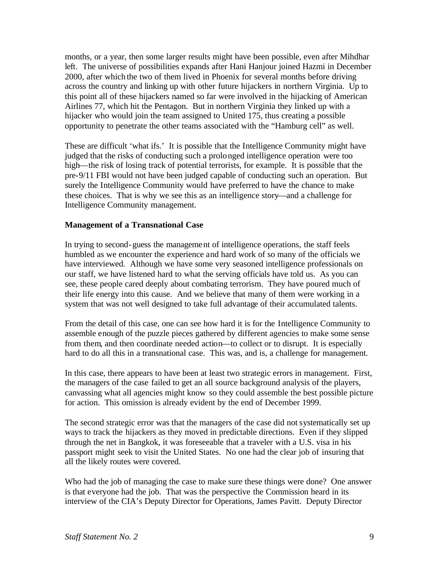months, or a year, then some larger results might have been possible, even after Mihdhar left. The universe of possibilities expands after Hani Hanjour joined Hazmi in December 2000, after which the two of them lived in Phoenix for several months before driving across the country and linking up with other future hijackers in northern Virginia. Up to this point all of these hijackers named so far were involved in the hijacking of American Airlines 77, which hit the Pentagon. But in northern Virginia they linked up with a hijacker who would join the team assigned to United 175, thus creating a possible opportunity to penetrate the other teams associated with the "Hamburg cell" as well.

These are difficult 'what ifs.' It is possible that the Intelligence Community might have judged that the risks of conducting such a prolonged intelligence operation were too high—the risk of losing track of potential terrorists, for example. It is possible that the pre-9/11 FBI would not have been judged capable of conducting such an operation. But surely the Intelligence Community would have preferred to have the chance to make these choices. That is why we see this as an intelligence story—and a challenge for Intelligence Community management.

#### **Management of a Transnational Case**

In trying to second-guess the management of intelligence operations, the staff feels humbled as we encounter the experience and hard work of so many of the officials we have interviewed. Although we have some very seasoned intelligence professionals on our staff, we have listened hard to what the serving officials have told us. As you can see, these people cared deeply about combating terrorism. They have poured much of their life energy into this cause. And we believe that many of them were working in a system that was not well designed to take full advantage of their accumulated talents.

From the detail of this case, one can see how hard it is for the Intelligence Community to assemble enough of the puzzle pieces gathered by different agencies to make some sense from them, and then coordinate needed action—to collect or to disrupt. It is especially hard to do all this in a transnational case. This was, and is, a challenge for management.

In this case, there appears to have been at least two strategic errors in management. First, the managers of the case failed to get an all source background analysis of the players, canvassing what all agencies might know so they could assemble the best possible picture for action. This omission is already evident by the end of December 1999.

The second strategic error was that the managers of the case did not systematically set up ways to track the hijackers as they moved in predictable directions. Even if they slipped through the net in Bangkok, it was foreseeable that a traveler with a U.S. visa in his passport might seek to visit the United States. No one had the clear job of insuring that all the likely routes were covered.

Who had the job of managing the case to make sure these things were done? One answer is that everyone had the job. That was the perspective the Commission heard in its interview of the CIA's Deputy Director for Operations, James Pavitt. Deputy Director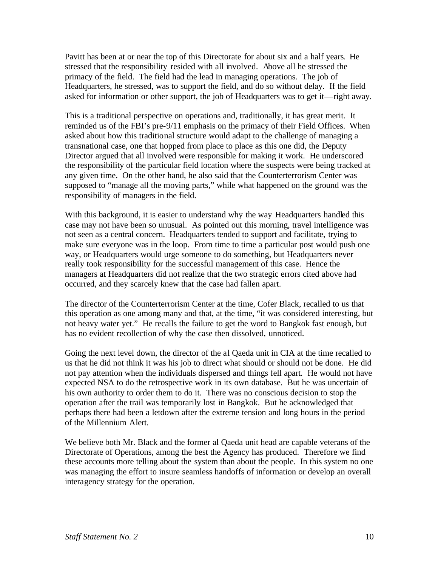Pavitt has been at or near the top of this Directorate for about six and a half years. He stressed that the responsibility resided with all involved. Above all he stressed the primacy of the field. The field had the lead in managing operations. The job of Headquarters, he stressed, was to support the field, and do so without delay. If the field asked for information or other support, the job of Headquarters was to get it—right away.

This is a traditional perspective on operations and, traditionally, it has great merit. It reminded us of the FBI's pre-9/11 emphasis on the primacy of their Field Offices. When asked about how this traditional structure would adapt to the challenge of managing a transnational case, one that hopped from place to place as this one did, the Deputy Director argued that all involved were responsible for making it work. He underscored the responsibility of the particular field location where the suspects were being tracked at any given time. On the other hand, he also said that the Counterterrorism Center was supposed to "manage all the moving parts," while what happened on the ground was the responsibility of managers in the field.

With this background, it is easier to understand why the way Headquarters handled this case may not have been so unusual. As pointed out this morning, travel intelligence was not seen as a central concern. Headquarters tended to support and facilitate, trying to make sure everyone was in the loop. From time to time a particular post would push one way, or Headquarters would urge someone to do something, but Headquarters never really took responsibility for the successful management of this case. Hence the managers at Headquarters did not realize that the two strategic errors cited above had occurred, and they scarcely knew that the case had fallen apart.

The director of the Counterterrorism Center at the time, Cofer Black, recalled to us that this operation as one among many and that, at the time, "it was considered interesting, but not heavy water yet." He recalls the failure to get the word to Bangkok fast enough, but has no evident recollection of why the case then dissolved, unnoticed.

Going the next level down, the director of the al Qaeda unit in CIA at the time recalled to us that he did not think it was his job to direct what should or should not be done. He did not pay attention when the individuals dispersed and things fell apart. He would not have expected NSA to do the retrospective work in its own database. But he was uncertain of his own authority to order them to do it. There was no conscious decision to stop the operation after the trail was temporarily lost in Bangkok. But he acknowledged that perhaps there had been a letdown after the extreme tension and long hours in the period of the Millennium Alert.

We believe both Mr. Black and the former al Qaeda unit head are capable veterans of the Directorate of Operations, among the best the Agency has produced. Therefore we find these accounts more telling about the system than about the people. In this system no one was managing the effort to insure seamless handoffs of information or develop an overall interagency strategy for the operation.